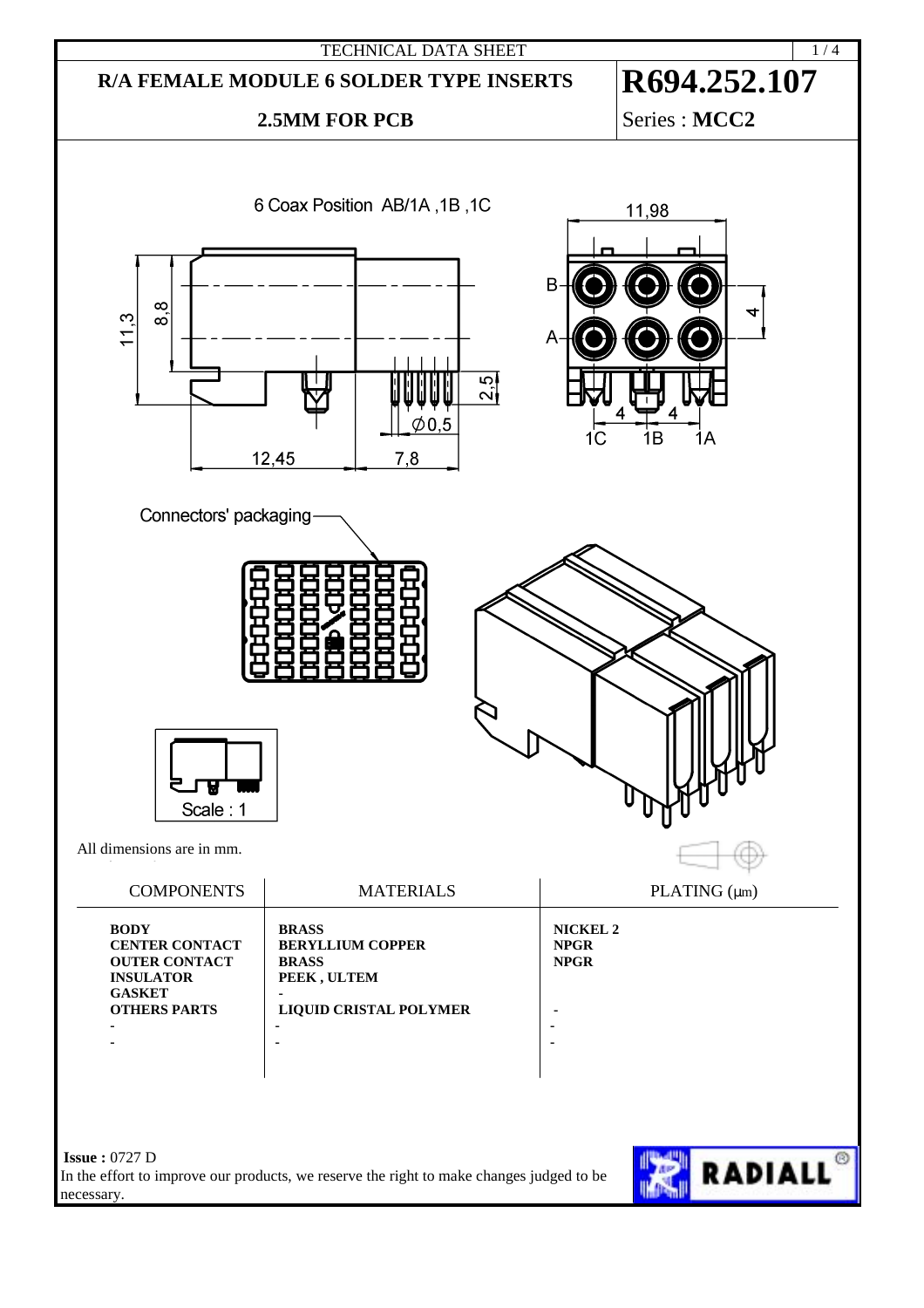

In the effort to improve our products, we reserve the right to make changes judged to be necessary.

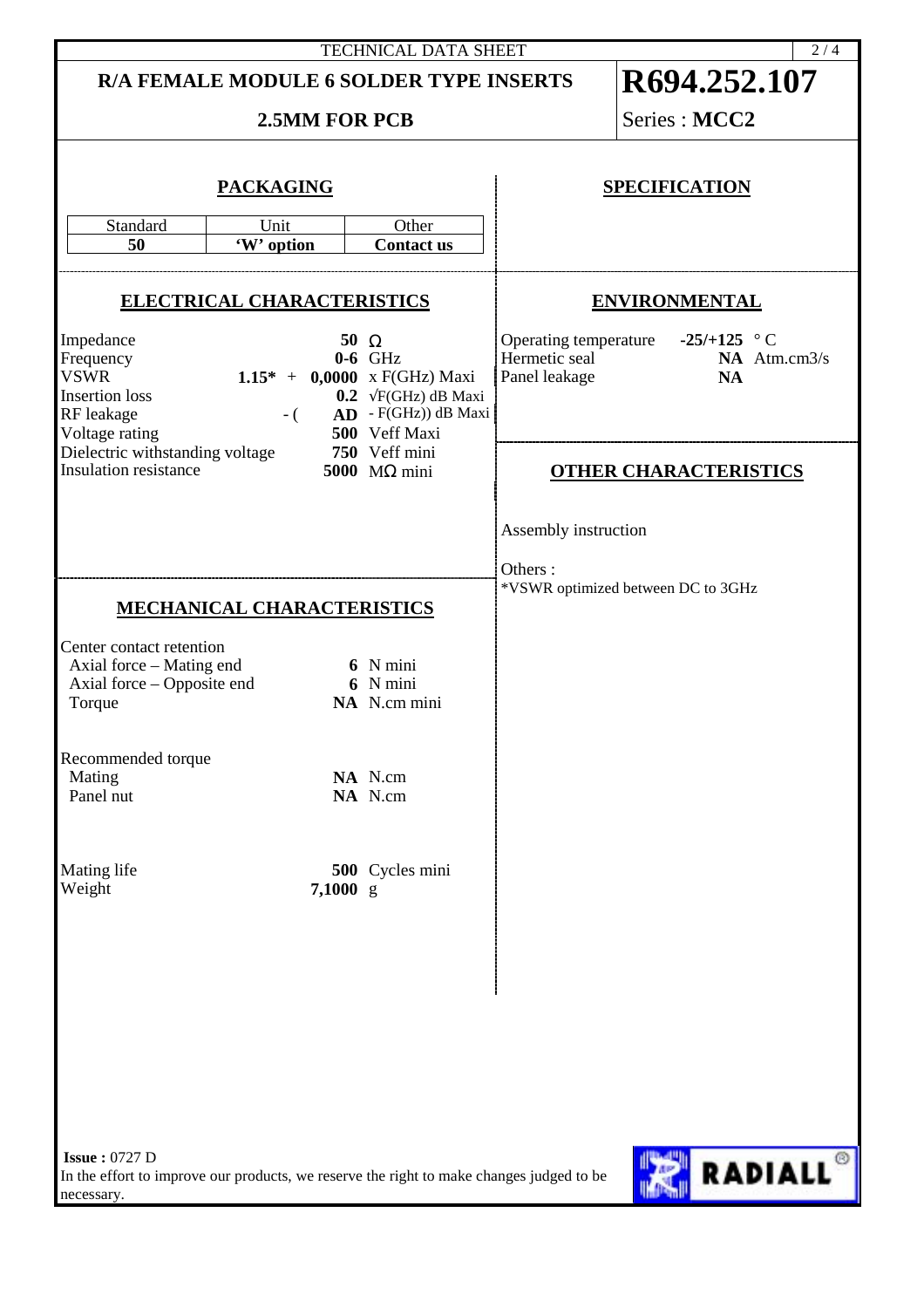| <b>TECHNICAL DATA SHEET</b><br>2/4                                                                                                                                                                                                                                                                                                                                          |                                                                                          |                                                                               |                                 |                                                                         |
|-----------------------------------------------------------------------------------------------------------------------------------------------------------------------------------------------------------------------------------------------------------------------------------------------------------------------------------------------------------------------------|------------------------------------------------------------------------------------------|-------------------------------------------------------------------------------|---------------------------------|-------------------------------------------------------------------------|
|                                                                                                                                                                                                                                                                                                                                                                             | R/A FEMALE MODULE 6 SOLDER TYPE INSERTS                                                  |                                                                               | R694.252.107                    |                                                                         |
| <b>2.5MM FOR PCB</b>                                                                                                                                                                                                                                                                                                                                                        |                                                                                          |                                                                               |                                 | Series : MCC2                                                           |
| <b>PACKAGING</b><br>Standard<br>Unit<br>Other<br>50<br>'W' option<br><b>Contact us</b>                                                                                                                                                                                                                                                                                      |                                                                                          |                                                                               | <b>SPECIFICATION</b>            |                                                                         |
| <b>ELECTRICAL CHARACTERISTICS</b>                                                                                                                                                                                                                                                                                                                                           |                                                                                          |                                                                               | <b>ENVIRONMENTAL</b>            |                                                                         |
| Impedance<br>50 $\Omega$<br>Frequency<br>$0-6$ GHz<br>1.15* + $0,0000 \text{ x } F(GHz)$ Maxi<br><b>VSWR</b><br>0.2 $\sqrt{F}$ (GHz) dB Maxi<br><b>Insertion</b> loss<br>$AD$ - F(GHz)) dB Maxi<br>RF leakage<br>$-$ (<br>Voltage rating<br>500 Veff Maxi<br>Dielectric withstanding voltage<br>750 Veff mini<br><b>Insulation resistance</b><br>5000 $\text{M}\Omega$ mini |                                                                                          |                                                                               | Hermetic seal<br>Panel leakage  | Operating temperature -25/+125 $\degree$ C<br>NA Atm.cm3/s<br><b>NA</b> |
|                                                                                                                                                                                                                                                                                                                                                                             |                                                                                          |                                                                               | <b>OTHER CHARACTERISTICS</b>    |                                                                         |
| Center contact retention<br>Axial force – Mating end<br>Axial force - Opposite end<br>Torque<br>Recommended torque<br>Mating<br>Panel nut<br>Mating life<br>Weight                                                                                                                                                                                                          | <b>MECHANICAL CHARACTERISTICS</b><br>$7,1000$ g                                          | 6 N mini<br>6 N mini<br>NA N.cm mini<br>NA N.cm<br>NA N.cm<br>500 Cycles mini | Assembly instruction<br>Others: | *VSWR optimized between DC to 3GHz                                      |
| <b>Issue: 0727 D</b><br>necessary.                                                                                                                                                                                                                                                                                                                                          | In the effort to improve our products, we reserve the right to make changes judged to be |                                                                               |                                 | <b>RADIALL<sup>®</sup></b>                                              |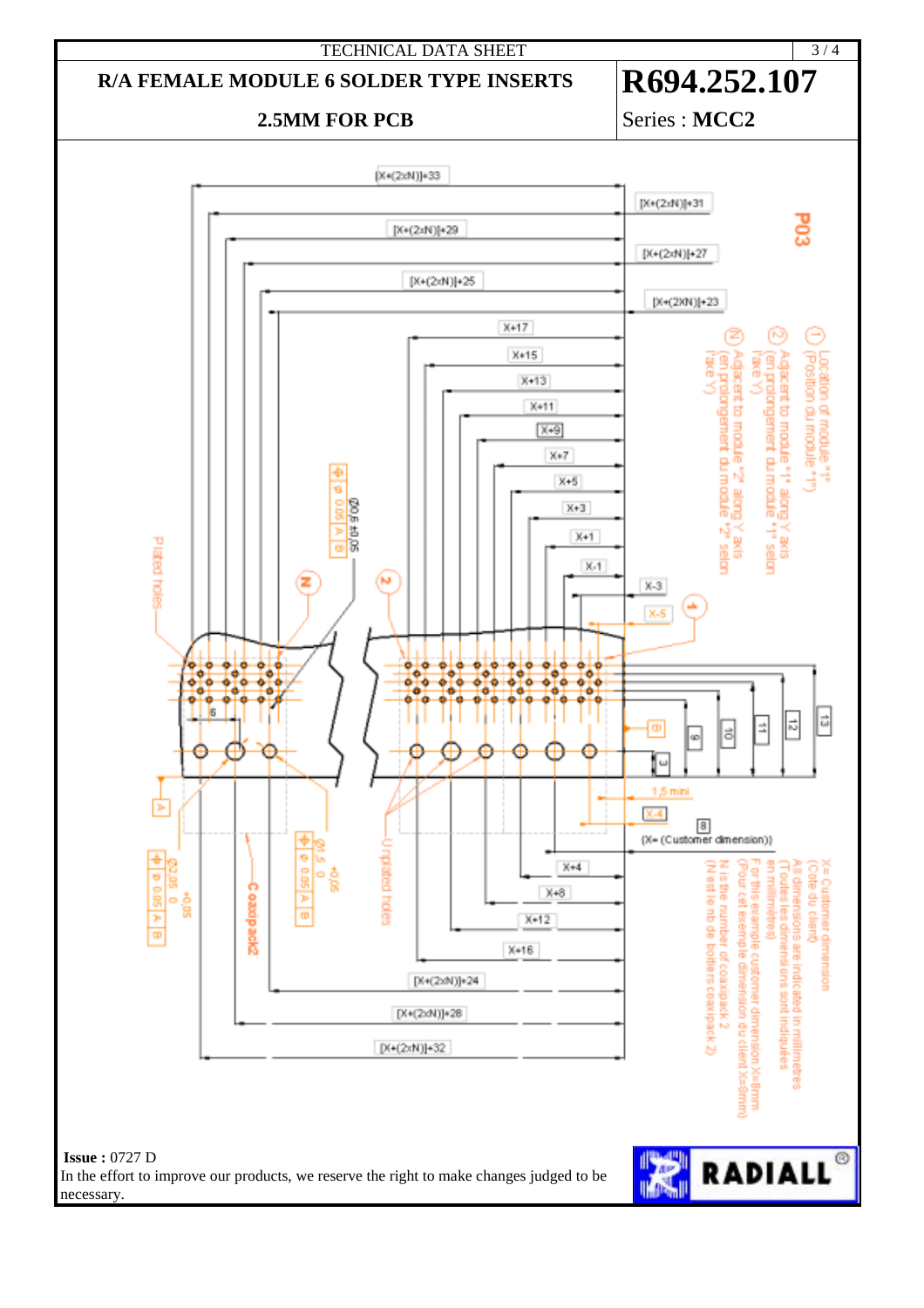

## **2.5MM FOR PCB** Series : MCC2